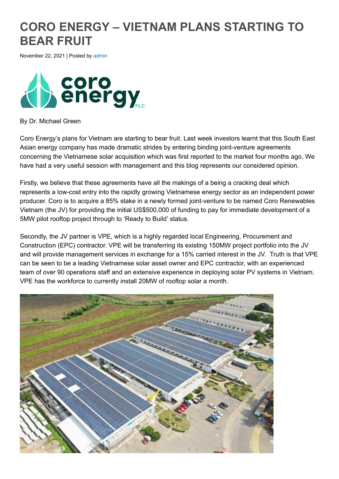## **CORO ENERGY – VIETNAM PLANS STARTING TO BEAR FRUIT**

November 22, 2021 | Posted by [admin](http://www.alignresearch.co.uk/author/admin/)



By Dr. Michael Green

Coro Energy's plans for Vietnam are starting to bear fruit. Last week investors learnt that this South East Asian energy company has made dramatic strides by entering binding joint-venture agreements concerning the Vietnamese solar acquisition which was first reported to the market four months ago. We have had a very useful session with management and this blog represents our considered opinion.

Firstly, we believe that these agreements have all the makings of a being a cracking deal which represents a low-cost entry into the rapidly growing Vietnamese energy sector as an independent power producer. Coro is to acquire a 85% stake in a newly formed joint-venture to be named Coro Renewables Vietnam (the JV) for providing the initial US\$500,000 of funding to pay for immediate development of a 5MW pilot rooftop project through to 'Ready to Build' status.

Secondly, the JV partner is VPE, which is a highly regarded local Engineering, Procurement and Construction (EPC) contractor. VPE will be transferring its existing 150MW project portfolio into the JV and will provide management services in exchange for a 15% carried interest in the JV. Truth is that VPE can be seen to be a leading Vietnamese solar asset owner and EPC contractor, with an experienced team of over 90 operations staff and an extensive experience in deploying solar PV systems in Vietnam. VPE has the workforce to currently install 20MW of rooftop solar a month.

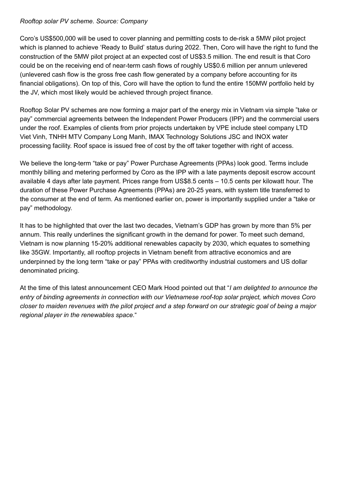## *Rooftop solar PV scheme. Source: Company*

Coro's US\$500,000 will be used to cover planning and permitting costs to de-risk a 5MW pilot project which is planned to achieve 'Ready to Build' status during 2022. Then, Coro will have the right to fund the construction of the 5MW pilot project at an expected cost of US\$3.5 million. The end result is that Coro could be on the receiving end of near-term cash flows of roughly US\$0.6 million per annum unlevered (unlevered cash flow is the gross free cash flow generated by a company before accounting for its financial obligations). On top of this, Coro will have the option to fund the entire 150MW portfolio held by the JV, which most likely would be achieved through project finance.

Rooftop Solar PV schemes are now forming a major part of the energy mix in Vietnam via simple "take or pay" commercial agreements between the Independent Power Producers (IPP) and the commercial users under the roof. Examples of clients from prior projects undertaken by VPE include steel company LTD Viet Vinh, TNHH MTV Company Long Manh, IMAX Technology Solutions JSC and INOX water processing facility. Roof space is issued free of cost by the off taker together with right of access.

We believe the long-term "take or pay" Power Purchase Agreements (PPAs) look good. Terms include monthly billing and metering performed by Coro as the IPP with a late payments deposit escrow account available 4 days after late payment. Prices range from US\$8.5 cents – 10.5 cents per kilowatt hour. The duration of these Power Purchase Agreements (PPAs) are 20-25 years, with system title transferred to the consumer at the end of term. As mentioned earlier on, power is importantly supplied under a "take or pay" methodology.

It has to be highlighted that over the last two decades, Vietnam's GDP has grown by more than 5% per annum. This really underlines the significant growth in the demand for power. To meet such demand, Vietnam is now planning 15-20% additional renewables capacity by 2030, which equates to something like 35GW. Importantly, all rooftop projects in Vietnam benefit from attractive economics and are underpinned by the long term "take or pay" PPAs with creditworthy industrial customers and US dollar denominated pricing.

At the time of this latest announcement CEO Mark Hood pointed out that "*I am delighted to announce the entry of binding agreements in connection with our Vietnamese roof-top solar project, which moves Coro closer to maiden revenues with the pilot project and a step forward on our strategic goal of being a major regional player in the renewables space.*"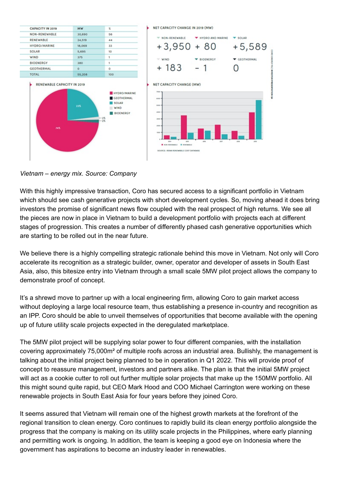

*Vietnam – energy mix. Source: Company*

With this highly impressive transaction, Coro has secured access to a significant portfolio in Vietnam which should see cash generative projects with short development cycles. So, moving ahead it does bring investors the promise of significant news flow coupled with the real prospect of high returns. We see all the pieces are now in place in Vietnam to build a development portfolio with projects each at different stages of progression. This creates a number of differently phased cash generative opportunities which are starting to be rolled out in the near future.

We believe there is a highly compelling strategic rationale behind this move in Vietnam. Not only will Coro accelerate its recognition as a strategic builder, owner, operator and developer of assets in South East Asia, also, this bitesize entry into Vietnam through a small scale 5MW pilot project allows the company to demonstrate proof of concept.

It's a shrewd move to partner up with a local engineering firm, allowing Coro to gain market access without deploying a large local resource team, thus establishing a presence in-country and recognition as an IPP. Coro should be able to unveil themselves of opportunities that become available with the opening up of future utility scale projects expected in the deregulated marketplace.

The 5MW pilot project will be supplying solar power to four different companies, with the installation covering approximately 75,000m² of multiple roofs across an industrial area. Bullishly, the management is talking about the initial project being planned to be in operation in Q1 2022. This will provide proof of concept to reassure management, investors and partners alike. The plan is that the initial 5MW project will act as a cookie cutter to roll out further multiple solar projects that make up the 150MW portfolio. All this might sound quite rapid, but CEO Mark Hood and COO Michael Carrington were working on these renewable projects in South East Asia for four years before they joined Coro.

It seems assured that Vietnam will remain one of the highest growth markets at the forefront of the regional transition to clean energy. Coro continues to rapidly build its clean energy portfolio alongside the progress that the company is making on its utility scale projects in the Philippines, where early planning and permitting work is ongoing. In addition, the team is keeping a good eye on Indonesia where the government has aspirations to become an industry leader in renewables.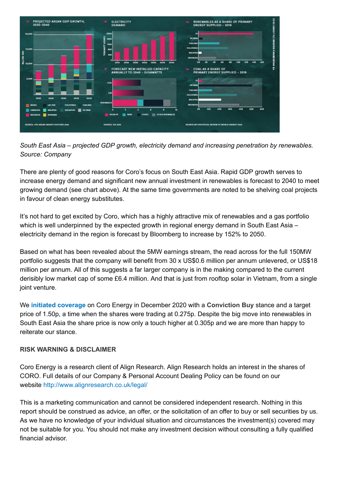

*South East Asia – projected GDP growth, electricity demand and increasing penetration by renewables. Source: Company*

There are plenty of good reasons for Coro's focus on South East Asia. Rapid GDP growth serves to increase energy demand and significant new annual investment in renewables is forecast to 2040 to meet growing demand (see chart above). At the same time governments are noted to be shelving coal projects in favour of clean energy substitutes.

It's not hard to get excited by Coro, which has a highly attractive mix of renewables and a gas portfolio which is well underpinned by the expected growth in regional energy demand in South East Asia – electricity demand in the region is forecast by Bloomberg to increase by 152% to 2050.

Based on what has been revealed about the 5MW earnings stream, the read across for the full 150MW portfolio suggests that the company will benefit from 30 x US\$0.6 million per annum unlevered, or US\$18 million per annum. All of this suggests a far larger company is in the making compared to the current derisibly low market cap of some £6.4 million. And that is just from rooftop solar in Vietnam, from a single joint venture.

We **[initiated coverage](http://www.alignresearch.co.uk/cpt-company/coro-energy/)** on Coro Energy in December 2020 with a **Conviction Buy** stance and a target price of 1.50p, a time when the shares were trading at 0.275p. Despite the big move into renewables in South East Asia the share price is now only a touch higher at 0.305p and we are more than happy to reiterate our stance.

## **RISK WARNING & DISCLAIMER**

Coro Energy is a research client of Align Research. Align Research holds an interest in the shares of CORO. Full details of our Company & Personal Account Dealing Policy can be found on our website <http://www.alignresearch.co.uk/legal/>

This is a marketing communication and cannot be considered independent research. Nothing in this report should be construed as advice, an offer, or the solicitation of an offer to buy or sell securities by us. As we have no knowledge of your individual situation and circumstances the investment(s) covered may not be suitable for you. You should not make any investment decision without consulting a fully qualified financial advisor.